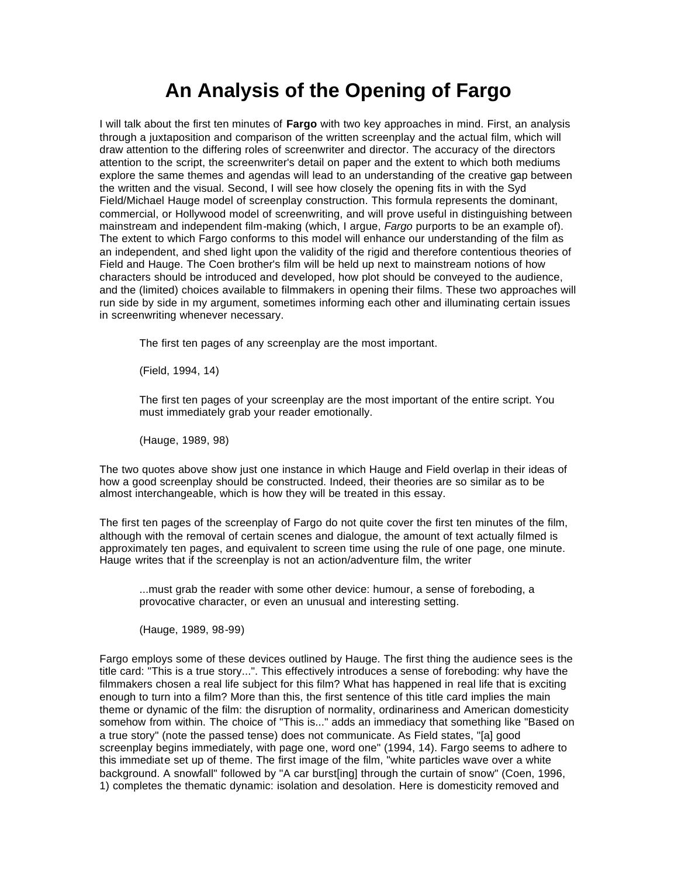## **An Analysis of the Opening of Fargo**

I will talk about the first ten minutes of **Fargo** with two key approaches in mind. First, an analysis through a juxtaposition and comparison of the written screenplay and the actual film, which will draw attention to the differing roles of screenwriter and director. The accuracy of the directors attention to the script, the screenwriter's detail on paper and the extent to which both mediums explore the same themes and agendas will lead to an understanding of the creative gap between the written and the visual. Second, I will see how closely the opening fits in with the Syd Field/Michael Hauge model of screenplay construction. This formula represents the dominant, commercial, or Hollywood model of screenwriting, and will prove useful in distinguishing between mainstream and independent film-making (which, I argue, *Fargo* purports to be an example of). The extent to which Fargo conforms to this model will enhance our understanding of the film as an independent, and shed light upon the validity of the rigid and therefore contentious theories of Field and Hauge. The Coen brother's film will be held up next to mainstream notions of how characters should be introduced and developed, how plot should be conveyed to the audience, and the (limited) choices available to filmmakers in opening their films. These two approaches will run side by side in my argument, sometimes informing each other and illuminating certain issues in screenwriting whenever necessary.

The first ten pages of any screenplay are the most important.

(Field, 1994, 14)

The first ten pages of your screenplay are the most important of the entire script. You must immediately grab your reader emotionally.

(Hauge, 1989, 98)

The two quotes above show just one instance in which Hauge and Field overlap in their ideas of how a good screenplay should be constructed. Indeed, their theories are so similar as to be almost interchangeable, which is how they will be treated in this essay.

The first ten pages of the screenplay of Fargo do not quite cover the first ten minutes of the film, although with the removal of certain scenes and dialogue, the amount of text actually filmed is approximately ten pages, and equivalent to screen time using the rule of one page, one minute. Hauge writes that if the screenplay is not an action/adventure film, the writer

...must grab the reader with some other device: humour, a sense of foreboding, a provocative character, or even an unusual and interesting setting.

(Hauge, 1989, 98-99)

Fargo employs some of these devices outlined by Hauge. The first thing the audience sees is the title card: "This is a true story...". This effectively introduces a sense of foreboding: why have the filmmakers chosen a real life subject for this film? What has happened in real life that is exciting enough to turn into a film? More than this, the first sentence of this title card implies the main theme or dynamic of the film: the disruption of normality, ordinariness and American domesticity somehow from within. The choice of "This is..." adds an immediacy that something like "Based on a true story" (note the passed tense) does not communicate. As Field states, "[a] good screenplay begins immediately, with page one, word one" (1994, 14). Fargo seems to adhere to this immediate set up of theme. The first image of the film, "white particles wave over a white background. A snowfall" followed by "A car burst[ing] through the curtain of snow" (Coen, 1996, 1) completes the thematic dynamic: isolation and desolation. Here is domesticity removed and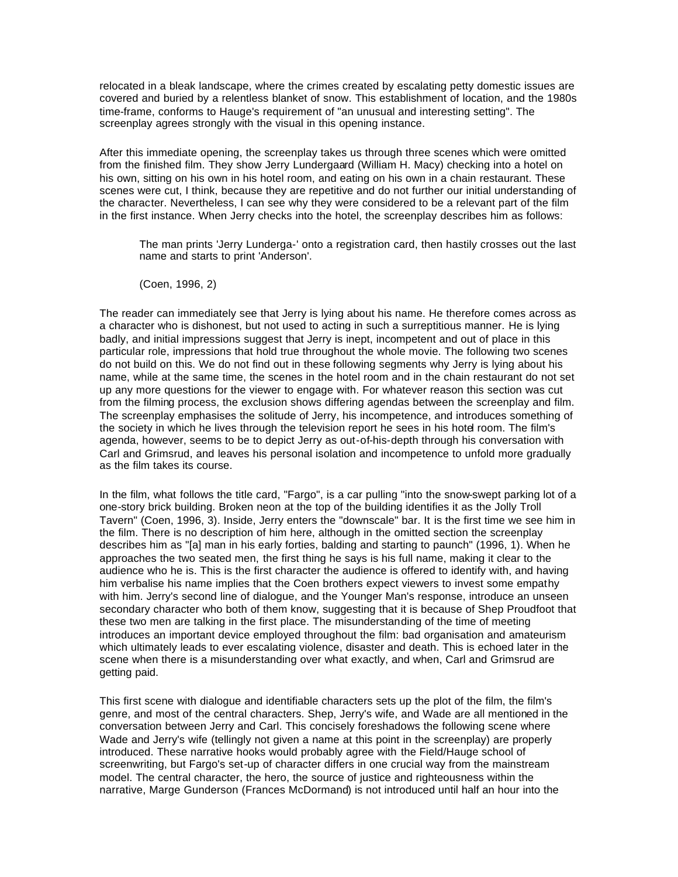relocated in a bleak landscape, where the crimes created by escalating petty domestic issues are covered and buried by a relentless blanket of snow. This establishment of location, and the 1980s time-frame, conforms to Hauge's requirement of "an unusual and interesting setting". The screenplay agrees strongly with the visual in this opening instance.

After this immediate opening, the screenplay takes us through three scenes which were omitted from the finished film. They show Jerry Lundergaard (William H. Macy) checking into a hotel on his own, sitting on his own in his hotel room, and eating on his own in a chain restaurant. These scenes were cut, I think, because they are repetitive and do not further our initial understanding of the character. Nevertheless, I can see why they were considered to be a relevant part of the film in the first instance. When Jerry checks into the hotel, the screenplay describes him as follows:

The man prints 'Jerry Lunderga-' onto a registration card, then hastily crosses out the last name and starts to print 'Anderson'.

(Coen, 1996, 2)

The reader can immediately see that Jerry is lying about his name. He therefore comes across as a character who is dishonest, but not used to acting in such a surreptitious manner. He is lying badly, and initial impressions suggest that Jerry is inept, incompetent and out of place in this particular role, impressions that hold true throughout the whole movie. The following two scenes do not build on this. We do not find out in these following segments why Jerry is lying about his name, while at the same time, the scenes in the hotel room and in the chain restaurant do not set up any more questions for the viewer to engage with. For whatever reason this section was cut from the filming process, the exclusion shows differing agendas between the screenplay and film. The screenplay emphasises the solitude of Jerry, his incompetence, and introduces something of the society in which he lives through the television report he sees in his hotel room. The film's agenda, however, seems to be to depict Jerry as out-of-his-depth through his conversation with Carl and Grimsrud, and leaves his personal isolation and incompetence to unfold more gradually as the film takes its course.

In the film, what follows the title card, "Fargo", is a car pulling "into the snow-swept parking lot of a one-story brick building. Broken neon at the top of the building identifies it as the Jolly Troll Tavern" (Coen, 1996, 3). Inside, Jerry enters the "downscale" bar. It is the first time we see him in the film. There is no description of him here, although in the omitted section the screenplay describes him as "[a] man in his early forties, balding and starting to paunch" (1996, 1). When he approaches the two seated men, the first thing he says is his full name, making it clear to the audience who he is. This is the first character the audience is offered to identify with, and having him verbalise his name implies that the Coen brothers expect viewers to invest some empathy with him. Jerry's second line of dialogue, and the Younger Man's response, introduce an unseen secondary character who both of them know, suggesting that it is because of Shep Proudfoot that these two men are talking in the first place. The misunderstanding of the time of meeting introduces an important device employed throughout the film: bad organisation and amateurism which ultimately leads to ever escalating violence, disaster and death. This is echoed later in the scene when there is a misunderstanding over what exactly, and when, Carl and Grimsrud are getting paid.

This first scene with dialogue and identifiable characters sets up the plot of the film, the film's genre, and most of the central characters. Shep, Jerry's wife, and Wade are all mentioned in the conversation between Jerry and Carl. This concisely foreshadows the following scene where Wade and Jerry's wife (tellingly not given a name at this point in the screenplay) are properly introduced. These narrative hooks would probably agree with the Field/Hauge school of screenwriting, but Fargo's set-up of character differs in one crucial way from the mainstream model. The central character, the hero, the source of justice and righteousness within the narrative, Marge Gunderson (Frances McDormand) is not introduced until half an hour into the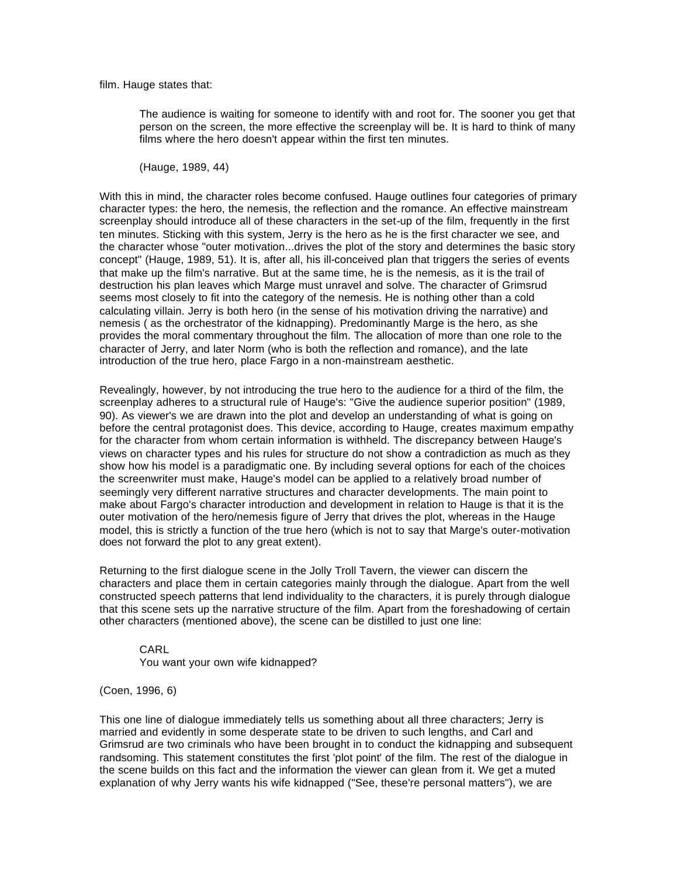film. Hauge states that:

The audience is waiting for someone to identify with and root for. The sooner you get that person on the screen, the more effective the screenplay will be. It is hard to think of many films where the hero doesn't appear within the first ten minutes.

(Hauge, 1989, 44)

With this in mind, the character roles become confused. Hauge outlines four categories of primary character types: the hero, the nemesis, the reflection and the romance. An effective mainstream screenplay should introduce all of these characters in the set-up of the film, frequently in the first ten minutes. Sticking with this system, Jerry is the hero as he is the first character we see, and the character whose "outer motivation...drives the plot of the story and determines the basic story concept" (Hauge, 1989, 51). It is, after all, his ill-conceived plan that triggers the series of events that make up the film's narrative. But at the same time, he is the nemesis, as it is the trail of destruction his plan leaves which Marge must unravel and solve. The character of Grimsrud seems most closely to fit into the category of the nemesis. He is nothing other than a cold calculating villain. Jerry is both hero (in the sense of his motivation driving the narrative) and nemesis ( as the orchestrator of the kidnapping). Predominantly Marge is the hero, as she provides the moral commentary throughout the film. The allocation of more than one role to the character of Jerry, and later Norm (who is both the reflection and romance), and the late introduction of the true hero, place Fargo in a non-mainstream aesthetic.

Revealingly, however, by not introducing the true hero to the audience for a third of the film, the screenplay adheres to a structural rule of Hauge's: "Give the audience superior position" (1989, 90). As viewer's we are drawn into the plot and develop an understanding of what is going on before the central protagonist does. This device, according to Hauge, creates maximum empathy for the character from whom certain information is withheld. The discrepancy between Hauge's views on character types and his rules for structure do not show a contradiction as much as they show how his model is a paradigmatic one. By including several options for each of the choices the screenwriter must make, Hauge's model can be applied to a relatively broad number of seemingly very different narrative structures and character developments. The main point to make about Fargo's character introduction and development in relation to Hauge is that it is the outer motivation of the hero/nemesis figure of Jerry that drives the plot, whereas in the Hauge model, this is strictly a function of the true hero (which is not to say that Marge's outer-motivation does not forward the plot to any great extent).

Returning to the first dialogue scene in the Jolly Troll Tavern, the viewer can discern the characters and place them in certain categories mainly through the dialogue. Apart from the well constructed speech patterns that lend individuality to the characters, it is purely through dialogue that this scene sets up the narrative structure of the film. Apart from the foreshadowing of certain other characters (mentioned above), the scene can be distilled to just one line:

CARL You want your own wife kidnapped?

(Coen, 1996, 6)

This one line of dialogue immediately tells us something about all three characters; Jerry is married and evidently in some desperate state to be driven to such lengths, and Carl and Grimsrud are two criminals who have been brought in to conduct the kidnapping and subsequent randsoming. This statement constitutes the first 'plot point' of the film. The rest of the dialogue in the scene builds on this fact and the information the viewer can glean from it. We get a muted explanation of why Jerry wants his wife kidnapped ("See, these're personal matters"), we are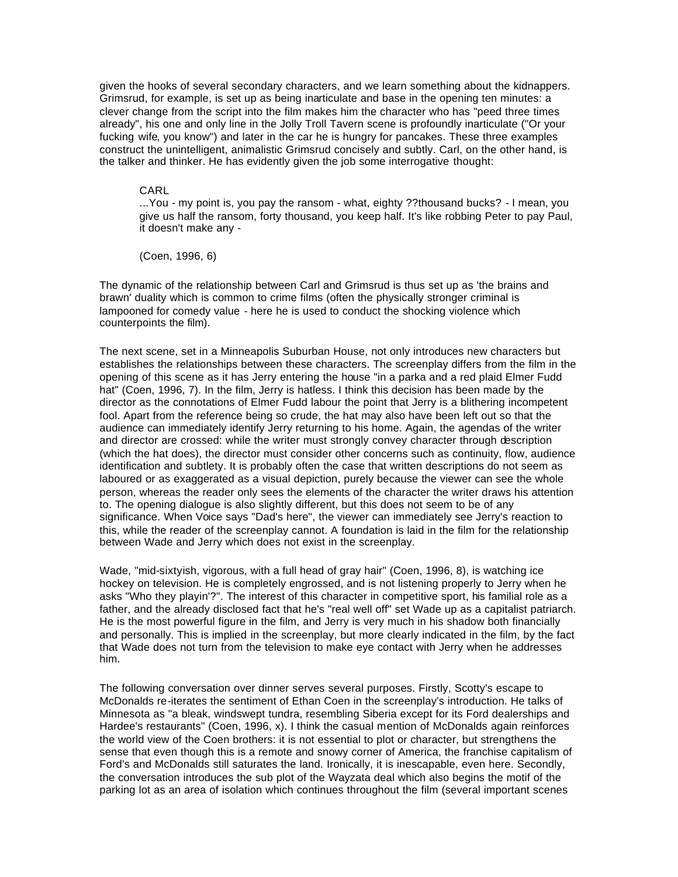given the hooks of several secondary characters, and we learn something about the kidnappers. Grimsrud, for example, is set up as being inarticulate and base in the opening ten minutes: a clever change from the script into the film makes him the character who has "peed three times already", his one and only line in the Jolly Troll Tavern scene is profoundly inarticulate ("Or your fucking wife, you know") and later in the car he is hungry for pancakes. These three examples construct the unintelligent, animalistic Grimsrud concisely and subtly. Carl, on the other hand, is the talker and thinker. He has evidently given the job some interrogative thought:

## CARL

...You - my point is, you pay the ransom - what, eighty ??thousand bucks? - I mean, you give us half the ransom, forty thousand, you keep half. It's like robbing Peter to pay Paul, it doesn't make any -

(Coen, 1996, 6)

The dynamic of the relationship between Carl and Grimsrud is thus set up as 'the brains and brawn' duality which is common to crime films (often the physically stronger criminal is lampooned for comedy value - here he is used to conduct the shocking violence which counterpoints the film).

The next scene, set in a Minneapolis Suburban House, not only introduces new characters but establishes the relationships between these characters. The screenplay differs from the film in the opening of this scene as it has Jerry entering the house "in a parka and a red plaid Elmer Fudd hat" (Coen, 1996, 7). In the film, Jerry is hatless. I think this decision has been made by the director as the connotations of Elmer Fudd labour the point that Jerry is a blithering incompetent fool. Apart from the reference being so crude, the hat may also have been left out so that the audience can immediately identify Jerry returning to his home. Again, the agendas of the writer and director are crossed: while the writer must strongly convey character through description (which the hat does), the director must consider other concerns such as continuity, flow, audience identification and subtlety. It is probably often the case that written descriptions do not seem as laboured or as exaggerated as a visual depiction, purely because the viewer can see the whole person, whereas the reader only sees the elements of the character the writer draws his attention to. The opening dialogue is also slightly different, but this does not seem to be of any significance. When Voice says "Dad's here", the viewer can immediately see Jerry's reaction to this, while the reader of the screenplay cannot. A foundation is laid in the film for the relationship between Wade and Jerry which does not exist in the screenplay.

Wade, "mid-sixtyish, vigorous, with a full head of gray hair" (Coen, 1996, 8), is watching ice hockey on television. He is completely engrossed, and is not listening properly to Jerry when he asks "Who they playin'?". The interest of this character in competitive sport, his familial role as a father, and the already disclosed fact that he's "real well off" set Wade up as a capitalist patriarch. He is the most powerful figure in the film, and Jerry is very much in his shadow both financially and personally. This is implied in the screenplay, but more clearly indicated in the film, by the fact that Wade does not turn from the television to make eye contact with Jerry when he addresses him.

The following conversation over dinner serves several purposes. Firstly, Scotty's escape to McDonalds re-iterates the sentiment of Ethan Coen in the screenplay's introduction. He talks of Minnesota as "a bleak, windswept tundra, resembling Siberia except for its Ford dealerships and Hardee's restaurants" (Coen, 1996, x). I think the casual mention of McDonalds again reinforces the world view of the Coen brothers: it is not essential to plot or character, but strengthens the sense that even though this is a remote and snowy corner of America, the franchise capitalism of Ford's and McDonalds still saturates the land. Ironically, it is inescapable, even here. Secondly, the conversation introduces the sub plot of the Wayzata deal which also begins the motif of the parking lot as an area of isolation which continues throughout the film (several important scenes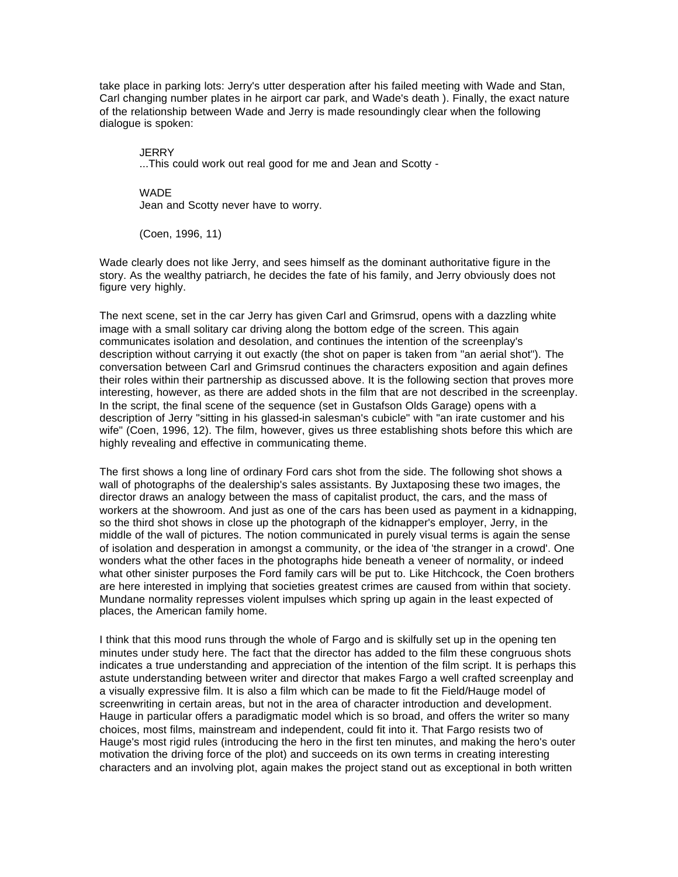take place in parking lots: Jerry's utter desperation after his failed meeting with Wade and Stan, Carl changing number plates in he airport car park, and Wade's death ). Finally, the exact nature of the relationship between Wade and Jerry is made resoundingly clear when the following dialogue is spoken:

**JERRY** ...This could work out real good for me and Jean and Scotty -

WADE Jean and Scotty never have to worry.

(Coen, 1996, 11)

Wade clearly does not like Jerry, and sees himself as the dominant authoritative figure in the story. As the wealthy patriarch, he decides the fate of his family, and Jerry obviously does not figure very highly.

The next scene, set in the car Jerry has given Carl and Grimsrud, opens with a dazzling white image with a small solitary car driving along the bottom edge of the screen. This again communicates isolation and desolation, and continues the intention of the screenplay's description without carrying it out exactly (the shot on paper is taken from "an aerial shot"). The conversation between Carl and Grimsrud continues the characters exposition and again defines their roles within their partnership as discussed above. It is the following section that proves more interesting, however, as there are added shots in the film that are not described in the screenplay. In the script, the final scene of the sequence (set in Gustafson Olds Garage) opens with a description of Jerry "sitting in his glassed-in salesman's cubicle" with "an irate customer and his wife" (Coen, 1996, 12). The film, however, gives us three establishing shots before this which are highly revealing and effective in communicating theme.

The first shows a long line of ordinary Ford cars shot from the side. The following shot shows a wall of photographs of the dealership's sales assistants. By Juxtaposing these two images, the director draws an analogy between the mass of capitalist product, the cars, and the mass of workers at the showroom. And just as one of the cars has been used as payment in a kidnapping, so the third shot shows in close up the photograph of the kidnapper's employer, Jerry, in the middle of the wall of pictures. The notion communicated in purely visual terms is again the sense of isolation and desperation in amongst a community, or the idea of 'the stranger in a crowd'. One wonders what the other faces in the photographs hide beneath a veneer of normality, or indeed what other sinister purposes the Ford family cars will be put to. Like Hitchcock, the Coen brothers are here interested in implying that societies greatest crimes are caused from within that society. Mundane normality represses violent impulses which spring up again in the least expected of places, the American family home.

I think that this mood runs through the whole of Fargo and is skilfully set up in the opening ten minutes under study here. The fact that the director has added to the film these congruous shots indicates a true understanding and appreciation of the intention of the film script. It is perhaps this astute understanding between writer and director that makes Fargo a well crafted screenplay and a visually expressive film. It is also a film which can be made to fit the Field/Hauge model of screenwriting in certain areas, but not in the area of character introduction and development. Hauge in particular offers a paradigmatic model which is so broad, and offers the writer so many choices, most films, mainstream and independent, could fit into it. That Fargo resists two of Hauge's most rigid rules (introducing the hero in the first ten minutes, and making the hero's outer motivation the driving force of the plot) and succeeds on its own terms in creating interesting characters and an involving plot, again makes the project stand out as exceptional in both written